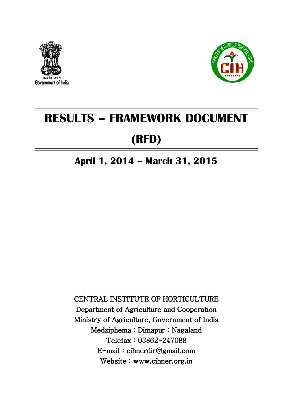



# RESULTS – FRAMEWORK DOCUMENT

## (RFD)

### April 1, 2014 – March 31, 2015

CENTRAL INSTITUTE OF HORTICULTURE Department of Agriculture and Cooperation Ministry of Agriculture, Government of India Medziphema : Dimapur : Nagaland Telefax: 03862-247088 E-mail : cihnerdir@gmail.com cihnerdir@gmail.com cihnerdir@gmail.com Website : www.cihner.org.in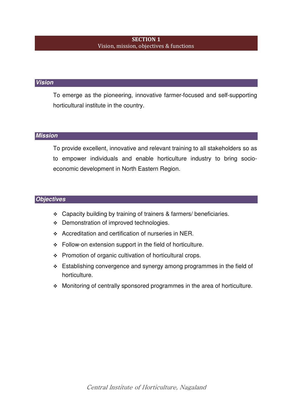#### SECTION 1 Vision, mission, objectives & functions

#### **Vision**

To emerge as the pioneering, innovative farmer-focused and self-supporting horticultural institute in the country.

#### **Mission**

To provide excellent, innovative and relevant training to all stakeholders so as to empower individuals and enable horticulture industry to bring socioeconomic development in North Eastern Region.

#### **Objectives**

- Capacity building by training of trainers & farmers/ beneficiaries.
- Demonstration of improved technologies.
- Accreditation and certification of nurseries in NER.
- Follow-on extension support in the field of horticulture.
- $\div$  Promotion of organic cultivation of horticultural crops.
- $\div$  Establishing convergence and synergy among programmes in the field of horticulture.
- Monitoring of centrally sponsored programmes in the area of horticulture.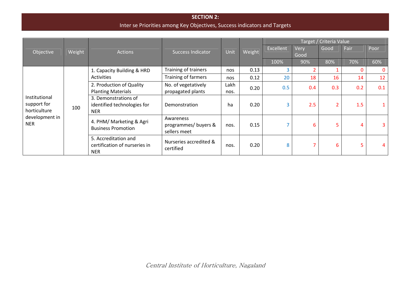#### SECTION 2: Inter se Priorities among Key Objectives, Success indicators and Targets

|                                                                              |        |                                                                     |                                                   |              |        |           |      | Target / Criteria Value |      |              |
|------------------------------------------------------------------------------|--------|---------------------------------------------------------------------|---------------------------------------------------|--------------|--------|-----------|------|-------------------------|------|--------------|
|                                                                              |        |                                                                     | <b>Success Indicator</b>                          | Unit         | Weight | Excellent | Very | Good                    | Fair | Poor         |
| Objective                                                                    | Weight | <b>Actions</b>                                                      |                                                   |              |        |           | Good |                         |      |              |
|                                                                              |        |                                                                     |                                                   |              |        | 100%      | 90%  | 80%                     | 70%  | 60%          |
|                                                                              |        | 1. Capacity Building & HRD                                          | Training of trainers                              | nos          | 0.13   | 3         |      |                         |      | $\mathbf{0}$ |
|                                                                              | 100    | Activities                                                          | Training of farmers                               | nos          | 0.12   | 20        | 18   | 16                      | 14   | 12           |
| Institutional<br>support for<br>horticulture<br>development in<br><b>NER</b> |        | 2. Production of Quality<br><b>Planting Materials</b>               | No. of vegetatively<br>propagated plants          | Lakh<br>nos. | 0.20   | 0.5       | 0.4  | 0.3                     | 0.2  | 0.1          |
|                                                                              |        | 3. Demonstrations of<br>identified technologies for<br><b>NER</b>   | Demonstration                                     | ha           | 0.20   | 3         | 2.5  | 2                       | 1.5  |              |
|                                                                              |        | 4. PHM/ Marketing & Agri<br><b>Business Promotion</b>               | Awareness<br>programmes/ buyers &<br>sellers meet | nos.         | 0.15   | 7         | 6    | 5                       | 4    | 3.           |
|                                                                              |        | 5. Accreditation and<br>certification of nurseries in<br><b>NER</b> | Nurseries accredited &<br>certified               | nos.         | 0.20   | 8         |      | 6                       | 5    |              |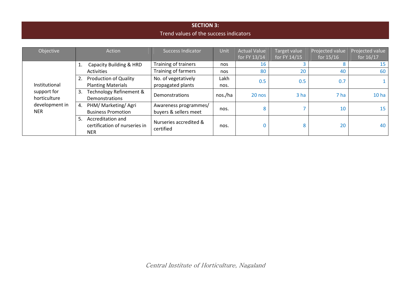#### SECTION 3: Trend values of the success indicators

| Objective                    | Action                                                                 | <b>Success Indicator</b>                       | Unit    | <b>Actual Value</b><br>for FY 13/14 | Target value<br>for FY 14/15 | Projected value<br>for $15/16$ | Projected value<br>for 16/17 |
|------------------------------|------------------------------------------------------------------------|------------------------------------------------|---------|-------------------------------------|------------------------------|--------------------------------|------------------------------|
|                              | Capacity Building & HRD<br>1.                                          | Training of trainers                           | nos     | 16                                  |                              |                                | 15                           |
|                              | Activities                                                             | Training of farmers                            | nos     | 80                                  | 20                           | 40                             | 60                           |
|                              | <b>Production of Quality</b><br>2.                                     | No. of vegetatively                            | Lakh    | 0.5                                 | 0.5                          | 0.7                            |                              |
| Institutional                | <b>Planting Materials</b>                                              | propagated plants                              | nos.    |                                     |                              |                                |                              |
| support for<br>horticulture  | Technology Refinement &<br>3.<br>Demonstrations                        | Demonstrations                                 | nos./ha | 20 nos                              | 3 <sub>ha</sub>              | 7 ha                           | 10 <sub>ha</sub>             |
| development in<br><b>NER</b> | PHM/ Marketing/ Agri<br>4.<br><b>Business Promotion</b>                | Awareness programmes/<br>buyers & sellers meet | nos.    | 8                                   |                              | 10                             | 15                           |
|                              | Accreditation and<br>5.<br>certification of nurseries in<br><b>NER</b> | Nurseries accredited &<br>certified            | nos.    |                                     | 8                            | 20                             | 40                           |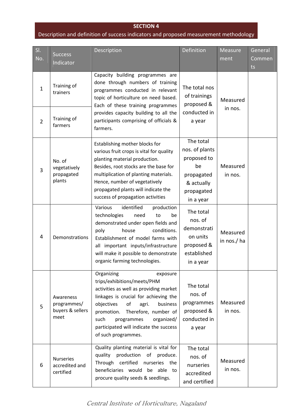#### SECTION 4

#### Description and definition of success indicators and proposed measurement methodology

| SI.                            |                                                      | <b>Description</b>                                                                                                                                                                                                                                                                                                           | Definition                                                                                              | Measure                 | General |
|--------------------------------|------------------------------------------------------|------------------------------------------------------------------------------------------------------------------------------------------------------------------------------------------------------------------------------------------------------------------------------------------------------------------------------|---------------------------------------------------------------------------------------------------------|-------------------------|---------|
| No.                            | <b>Success</b><br>Indicator                          |                                                                                                                                                                                                                                                                                                                              |                                                                                                         | ment                    | Commen  |
|                                |                                                      |                                                                                                                                                                                                                                                                                                                              |                                                                                                         |                         | ts      |
| $\mathbf{1}$<br>$\overline{2}$ | Training of<br>trainers<br>Training of<br>farmers    | Capacity building programmes are<br>done through numbers of training<br>programmes conducted in relevant<br>topic of horticulture on need based.<br>Each of these training programmes<br>provides capacity building to all the<br>participants comprising of officials &<br>farmers.                                         | The total nos<br>of trainings<br>proposed &<br>conducted in<br>a year                                   | Measured<br>in nos.     |         |
| 3                              | No. of<br>vegetatively<br>propagated<br>plants       | Establishing mother blocks for<br>various fruit crops is vital for quality<br>planting material production.<br>Besides, root stocks are the base for<br>multiplication of planting materials.<br>Hence, number of vegetatively<br>propagated plants will indicate the<br>success of propagation activities                   | The total<br>nos. of plants<br>proposed to<br>be<br>propagated<br>& actually<br>propagated<br>in a year | Measured<br>in nos.     |         |
| 4                              | Demonstrations                                       | Various<br>identified<br>production<br>technologies<br>need<br>be<br>to<br>demonstrated under open fields and<br>conditions.<br>poly<br>house<br>Establishment of model farms with<br>all important inputs/infrastructure<br>will make it possible to demonstrate<br>organic farming technologies.                           | The total<br>nos. of<br>demonstrati<br>on units<br>proposed &<br>established<br>in a year               | Measured<br>in nos./ ha |         |
| 5                              | Awareness<br>programmes/<br>buyers & sellers<br>meet | Organizing<br>exposure<br>trips/exhibitions/meets/PHM<br>activities as well as providing market<br>linkages is crucial for achieving the<br>objectives<br>of<br>business<br>agri.<br>Therefore, number of<br>promotion.<br>such<br>programmes<br>organized/<br>participated will indicate the success<br>of such programmes. | The total<br>nos. of<br>programmes<br>proposed &<br>conducted in<br>a year                              | Measured<br>in nos.     |         |
| 6                              | <b>Nurseries</b><br>accredited and<br>certified      | Quality planting material is vital for<br>production<br>quality<br>of<br>produce.<br>Through certified nurseries the<br>beneficiaries would be able to<br>procure quality seeds & seedlings.                                                                                                                                 | The total<br>nos. of<br>nurseries<br>accredited<br>and certified                                        | Measured<br>in nos.     |         |

Central Institute of Horticulture, Nagaland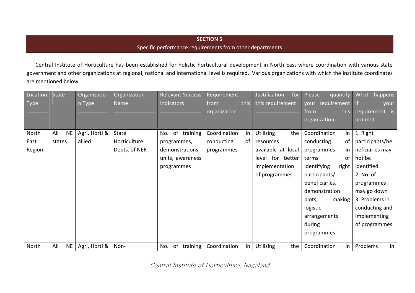#### SECTION 5

#### Specific performance requirements from other departments

Central Institute of Horticulture has been established for holistic horticultural development in North East where coordination with various state government and other organizations at regional, national and international level is required. Various organizations with which the Institute coordinatesare mentioned below

| Location | <b>State</b>     | Organizatio   | Organization  | <b>Relevant Success</b> | Requirement  |      | Justification<br>for    | Please<br>quantify   | What<br>happens |
|----------|------------------|---------------|---------------|-------------------------|--------------|------|-------------------------|----------------------|-----------------|
| Type     |                  | n Type        | Name          | Indicators              | from         | this | this requirement        | your requirement     | l if<br>your    |
|          |                  |               |               |                         | organization |      |                         | this<br>from         | requirement is  |
|          |                  |               |               |                         |              |      |                         | organization         | not met         |
| North    | <b>NE</b><br>All | Agri, Horti & | State         | of training<br>No.      | Coordination | in   | <b>Utilizing</b><br>the | in<br>Coordination   | 1. Right        |
| East     | states           | allied        | Horticulture  | programmes,             | conducting   | 0f   | resources               | conducting<br>0f     | participants/be |
| Region   |                  |               | Depts. of NER | demonstrations          | programmes   |      | available at local      | programmes<br>in     | neficiaries may |
|          |                  |               |               | units, awareness        |              |      | level for better        | of<br>terms          | not be          |
|          |                  |               |               | programmes              |              |      | implementation          | identifying<br>right | identified.     |
|          |                  |               |               |                         |              |      | of programmes           | participants/        | 2. No. of       |
|          |                  |               |               |                         |              |      |                         | beneficiaries,       | programmes      |
|          |                  |               |               |                         |              |      |                         | demonstration        | may go down     |
|          |                  |               |               |                         |              |      |                         | plots,<br>making     | 3. Problems in  |
|          |                  |               |               |                         |              |      |                         | logistic             | conducting and  |
|          |                  |               |               |                         |              |      |                         | arrangements         | implementing    |
|          |                  |               |               |                         |              |      |                         | during               | of programmes   |
|          |                  |               |               |                         |              |      |                         | programmes           |                 |
| North    | <b>NE</b><br>All | Agri, Horti & | Non-          | of<br>training<br>No.   | Coordination | in   | <b>Utilizing</b><br>the | in<br>Coordination   | in<br>Problems  |

Central Institute of Horticulture, Nagaland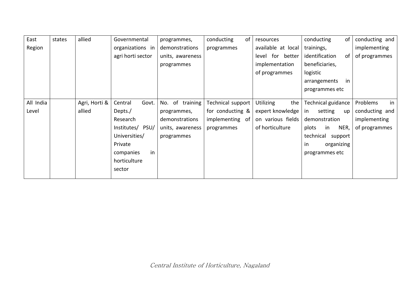| East      | states | allied        | Governmental      | programmes,      | conducting<br>of  | resources               | conducting<br>0f        | conducting and |
|-----------|--------|---------------|-------------------|------------------|-------------------|-------------------------|-------------------------|----------------|
| Region    |        |               | organizations in  | demonstrations   | programmes        | available at local      | trainings,              | implementing   |
|           |        |               | agri horti sector | units, awareness |                   | level for better        | identification<br>0f    | of programmes  |
|           |        |               |                   | programmes       |                   | implementation          | beneficiaries,          |                |
|           |        |               |                   |                  |                   | of programmes           | logistic                |                |
|           |        |               |                   |                  |                   |                         | arrangements<br>in      |                |
|           |        |               |                   |                  |                   |                         | programmes etc          |                |
|           |        |               |                   |                  |                   |                         |                         |                |
| All India |        | Agri, Horti & | Govt.<br>Central  | No. of training  | Technical support | <b>Utilizing</b><br>the | Technical guidance      | in<br>Problems |
| Level     |        | allied        | Depts./           | programmes,      | for conducting &  | expert knowledge        | setting<br>in<br>up     | conducting and |
|           |        |               | Research          | demonstrations   | implementing of   | on various fields       | demonstration           | implementing   |
|           |        |               | Institutes/ PSU/  | units, awareness | programmes        | of horticulture         | NER,<br>plots<br>in     | of programmes  |
|           |        |               | Universities/     | programmes       |                   |                         | technical support       |                |
|           |        |               | Private           |                  |                   |                         | organizing<br><i>in</i> |                |
|           |        |               | in<br>companies   |                  |                   |                         | programmes etc          |                |
|           |        |               | horticulture      |                  |                   |                         |                         |                |
|           |        |               | sector            |                  |                   |                         |                         |                |
|           |        |               |                   |                  |                   |                         |                         |                |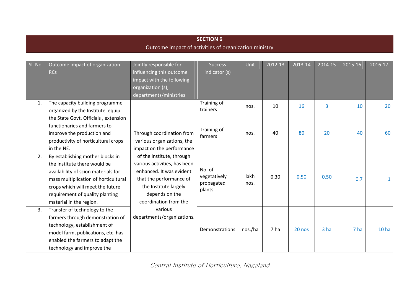#### **SECTION 6** Outcome impact of activities of organization ministry

| SI. No. | Outcome impact of organization<br><b>RCs</b>                                                                                                                                                                                                      | Jointly responsible for<br>influencing this outcome<br>impact with the following<br>organization (s),<br>departments/ministries                                                      | <b>Success</b><br>indicator (s)                | Unit         | 2012-13 | 2013-14 | 2014-15         | 2015-16 | 2016-17          |
|---------|---------------------------------------------------------------------------------------------------------------------------------------------------------------------------------------------------------------------------------------------------|--------------------------------------------------------------------------------------------------------------------------------------------------------------------------------------|------------------------------------------------|--------------|---------|---------|-----------------|---------|------------------|
| 1.      | The capacity building programme<br>organized by the Institute equip                                                                                                                                                                               |                                                                                                                                                                                      | Training of<br>trainers                        | nos.         | 10      | 16      | 3               | 10      | 20               |
|         | the State Govt. Officials, extension<br>functionaries and farmers to<br>improve the production and<br>productivity of horticultural crops<br>in the NE.                                                                                           | Through coordination from<br>various organizations, the<br>impact on the performance                                                                                                 | Training of<br>farmers                         | nos.         | 40      | 80      | 20              | 40      | 60               |
| 2.      | By establishing mother blocks in<br>the Institute there would be<br>availability of scion materials for<br>mass multiplication of horticultural<br>crops which will meet the future<br>requirement of quality planting<br>material in the region. | of the institute, through<br>various activities, has been<br>enhanced. It was evident<br>that the performance of<br>the Institute largely<br>depends on the<br>coordination from the | No. of<br>vegetatively<br>propagated<br>plants | lakh<br>nos. | 0.30    | 0.50    | 0.50            | 0.7     |                  |
| 3.      | Transfer of technology to the<br>farmers through demonstration of<br>technology, establishment of<br>model farm, publications, etc. has<br>enabled the farmers to adapt the<br>technology and improve the                                         | various<br>departments/organizations.                                                                                                                                                | Demonstrations                                 | nos./ha      | 7 ha    | 20 nos  | 3 <sub>ha</sub> | 7 ha    | 10 <sub>ha</sub> |

Central Institute of Horticulture, Nagaland